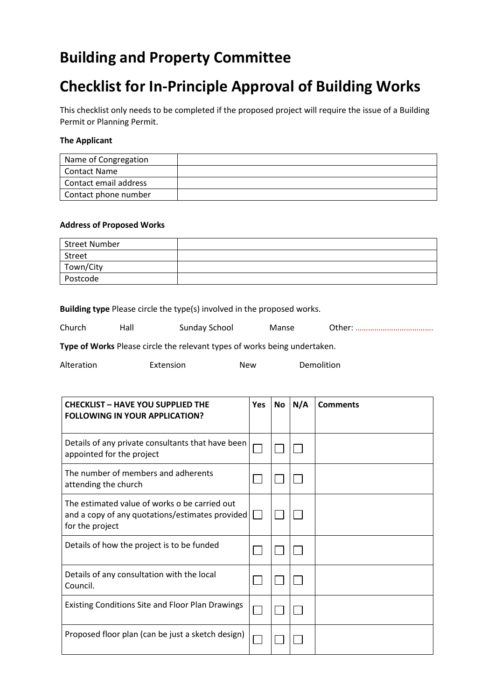# **Building and Property Committee**

# **Checklist for In-Principle Approval of Building Works**

This checklist only needs to be completed if the proposed project will require the issue of a Building Permit or Planning Permit.

### **The Applicant**

| Name of Congregation  |  |
|-----------------------|--|
| Contact Name          |  |
| Contact email address |  |
| Contact phone number  |  |

#### **Address of Proposed Works**

| <b>Street Number</b> |  |
|----------------------|--|
| Street               |  |
| Town/City            |  |
| Postcode             |  |

|  | Building type Please circle the type(s) involved in the proposed works. |  |  |
|--|-------------------------------------------------------------------------|--|--|
|--|-------------------------------------------------------------------------|--|--|

| Church<br>Hall<br>Sunday School<br>Manse |
|------------------------------------------|
|------------------------------------------|

**Type of Works** Please circle the relevant types of works being undertaken.

| Alteration | Extension | New | Demolition |
|------------|-----------|-----|------------|
|------------|-----------|-----|------------|

| <b>CHECKLIST - HAVE YOU SUPPLIED THE</b><br><b>FOLLOWING IN YOUR APPLICATION?</b>                                   | <b>Yes</b> | <b>No</b> | N/A | <b>Comments</b> |
|---------------------------------------------------------------------------------------------------------------------|------------|-----------|-----|-----------------|
| Details of any private consultants that have been<br>appointed for the project                                      |            |           |     |                 |
| The number of members and adherents<br>attending the church                                                         |            |           |     |                 |
| The estimated value of works o be carried out<br>and a copy of any quotations/estimates provided<br>for the project |            |           |     |                 |
| Details of how the project is to be funded                                                                          |            |           |     |                 |
| Details of any consultation with the local<br>Council.                                                              |            |           |     |                 |
| <b>Existing Conditions Site and Floor Plan Drawings</b>                                                             |            |           |     |                 |
| Proposed floor plan (can be just a sketch design)                                                                   |            |           |     |                 |